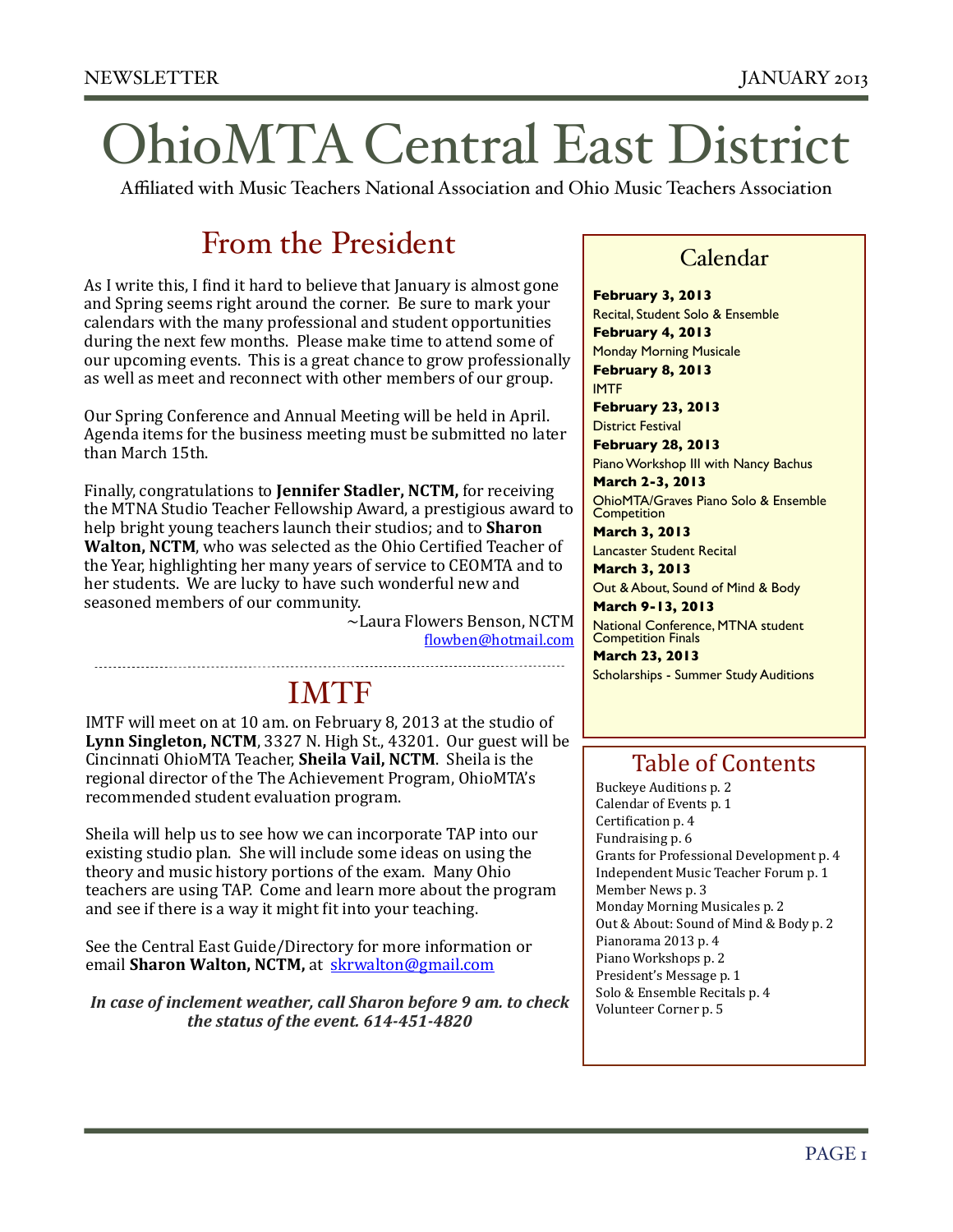# OhioMTA Central East District

Affiliated with Music Teachers National Association and Ohio Music Teachers Association

### From the President

As I write this, I find it hard to believe that January is almost gone and Spring seems right around the corner. Be sure to mark your calendars with the many professional and student opportunities during the next few months. Please make time to attend some of our upcoming events. This is a great chance to grow professionally as well as meet and reconnect with other members of our group.

Our Spring Conference and Annual Meeting will be held in April. Agenda items for the business meeting must be submitted no later than March 15th.

Finally, congratulations to **Jennifer Stadler, NCTM**, for receiving the MTNA Studio Teacher Fellowship Award, a prestigious award to help bright young teachers launch their studios; and to **Sharon Walton, NCTM**, who was selected as the Ohio Certified Teacher of the Year, highlighting her many years of service to CEOMTA and to her students. We are lucky to have such wonderful new and seasoned members of our community.

> $\sim$ Laura Flowers Benson, NCTM **''**,lowben@hotmail.com

### 

## IMTF

IMTF will meet on at 10 am. on February 8, 2013 at the studio of Lynn Singleton, NCTM, 3327 N. High St., 43201. Our guest will be Cincinnati OhioMTA Teacher, **Sheila Vail, NCTM**. Sheila is the regional director of the The Achievement Program, OhioMTA's recommended student evaluation program.

Sheila will help us to see how we can incorporate TAP into our existing studio plan. She will include some ideas on using the theory and music history portions of the exam. Many Ohio teachers are using TAP. Come and learn more about the program and see if there is a way it might fit into your teaching.

See the Central East Guide/Directory for more information or email **Sharon Walton, NCTM**, at skrwalton@gmail.com

*In case of inclement weather, call Sharon before 9 am. to check the status of the event. 614-451-4820* 

### Calendar

**February 3, 2013** Recital, Student Solo & Ensemble **February 4, 2013** Monday Morning Musicale **February 8, 2013** IMTF **February 23, 2013**

District Festival

**February 28, 2013** Piano Workshop III with Nancy Bachus **March 2-3, 2013**

OhioMTA/Graves Piano Solo & Ensemble **Competition** 

**March 3, 2013** Lancaster Student Recital

**March 3, 2013** Out & About, Sound of Mind & Body

**March 9-13, 2013** National Conference, MTNA student Competition Finals

**March 23, 2013** Scholarships - Summer Study Auditions

### Table of Contents

Buckeye Auditions p. 2 Calendar of Events p. 1 Certification p. 4 Fundraising p. 6 Grants for Professional Development p. 4 Independent Music Teacher Forum p. 1 Member News p. 3 Monday Morning Musicales p. 2 Out & About: Sound of Mind & Body p. 2 Pianorama 2013 p. 4 Piano Workshops p. 2 President's Message p. 1 Solo & Ensemble Recitals p. 4 Volunteer Corner p. 5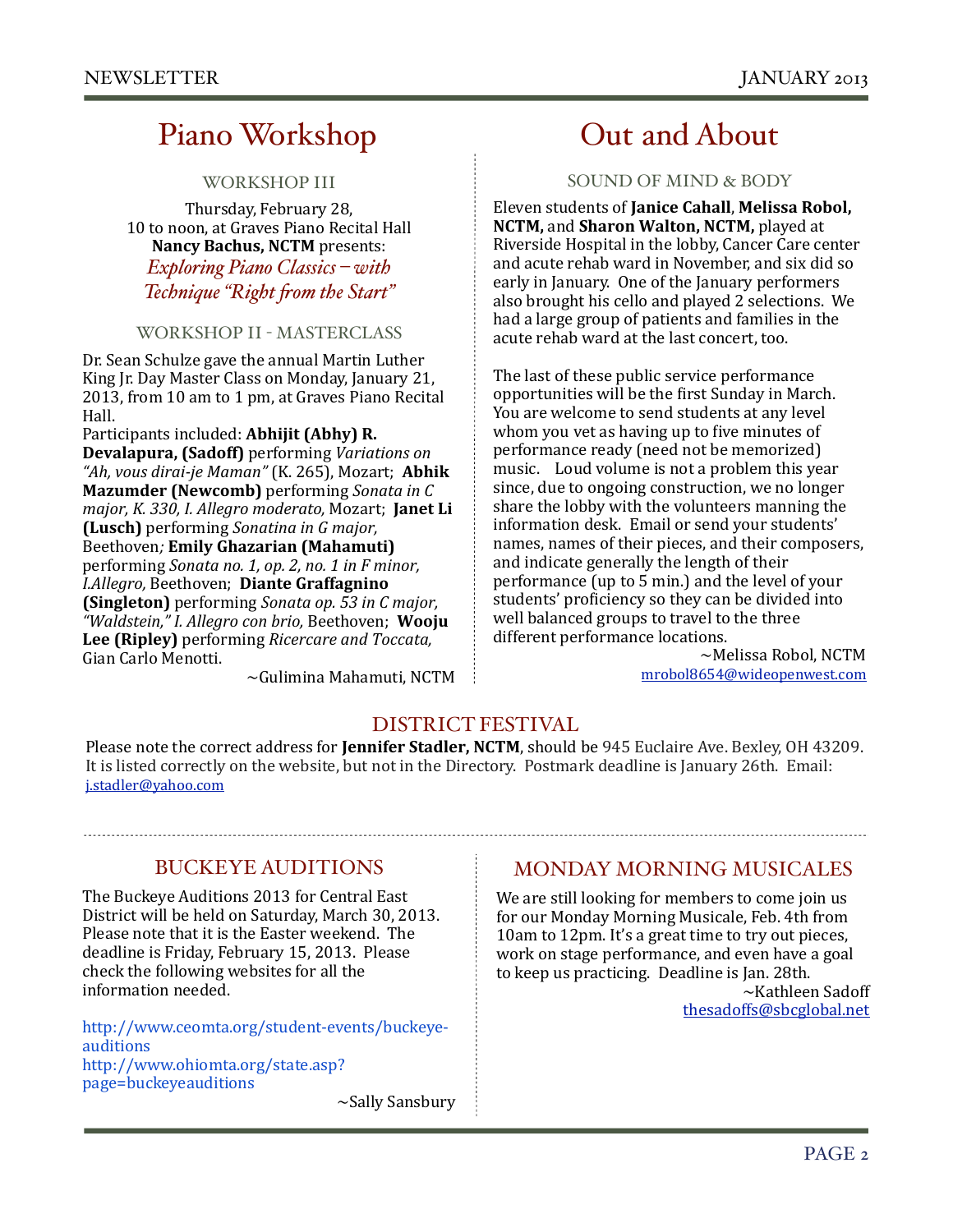### Piano Workshop

WORKSHOP III

Thursday, February 28, 10 to noon, at Graves Piano Recital Hall Nancy Bachus, NCTM presents: *Exploring Piano Classics – with Technique "Right "om the Start"* 

#### WORKSHOP II - MASTERCLASS

Dr. Sean Schulze gave the annual Martin Luther King Jr. Day Master Class on Monday, January 21, 2013, from 10 am to 1 pm, at Graves Piano Recital Hall.#

Participants included: **Abhijit (Abhy) R. Devalapura, (Sadoff)** performing *Variations on "Ah,)vous)dirai1je)Maman")*(K.#265),#Mozart;##**Abhik' Mazumder (Newcomb)** performing *Sonata in C major, K. 330, I. Allegro moderato, Mozart*; **Janet Li (Lusch)** performing *Sonatina in G major*, Beethoven*;)***Emily'Ghazarian (Mahamuti)** performing *Sonata no. 1, op. 2, no. 1 in F minor, I.Allegro,)*Beethoven;##**Diante'Graffagnino' (Singleton)** performing *Sonata op.* 53 in C major, "Waldstein," I. Allegro con brio, Beethoven; Wooju **Lee (Ripley)** performing *Ricercare and Toccata*, Gian Carlo Menotti.

 $\sim$ Gulimina Mahamuti, NCTM

### Out and About

#### SOUND OF MIND & BODY

Eleven#students#of#**Janice'Cahall**,#**Melissa'Robol,' NCTM, and Sharon Walton, NCTM, played at** Riverside Hospital in the lobby, Cancer Care center and acute rehab ward in November, and six did so early in January. One of the January performers also brought his cello and played 2 selections. We had a large group of patients and families in the acute rehab ward at the last concert, too.

The last of these public service performance opportunities will be the first Sunday in March. You are welcome to send students at any level whom you vet as having up to five minutes of performance ready (need not be memorized) music. Loud volume is not a problem this year since, due to ongoing construction, we no longer share the lobby with the volunteers manning the information desk. Email or send your students' names, names of their pieces, and their composers, and indicate generally the length of their performance (up to 5 min.) and the level of your students' proficiency so they can be divided into well balanced groups to travel to the three different performance locations.

 $\sim$ Melissa Robol, NCTM [mrobol8654@wideopenwest.com](mailto:mrobol8654@wideopenwest.com)

#### DISTRICT FESTIVAL

Please note the correct address for **Jennifer Stadler, NCTM**, should be 945 Euclaire Ave. Bexley, OH 43209. It is listed correctly on the website, but not in the Directory. Postmark deadline is January 26th. Email: [j.stadler@yahoo.com](mailto:j.stadler@yahoo.com)

#### BUCKEYE AUDITIONS

The Buckeye Auditions 2013 for Central East District will be held on Saturday, March 30, 2013. Please note that it is the Easter weekend. The deadline is Friday, February 15, 2013. Please check the following websites for all the information needed.

http://www.ceomta.org/student-events/buckeye[auditions](http://www.ceomta.org/student-events/buckeye-auditions) [http://www.ohiomta.org/state.asp?](http://www.ohiomta.org/state.asp?page=buckeyeauditions) [page=buckeyeauditions](http://www.ohiomta.org/state.asp?page=buckeyeauditions)  $\sim$ Sally Sansbury

#### MONDAY MORNING MUSICALES

We are still looking for members to come join us for our Monday Morning Musicale, Feb. 4th from 10am to 12pm. It's a great time to try out pieces, work on stage performance, and even have a goal to keep us practicing. Deadline is Jan. 28th.  $\sim$ Kathleen Sadoff

[thesadoffs@sbcglobal.net](mailto:thesadoffs@sbcglobal.net)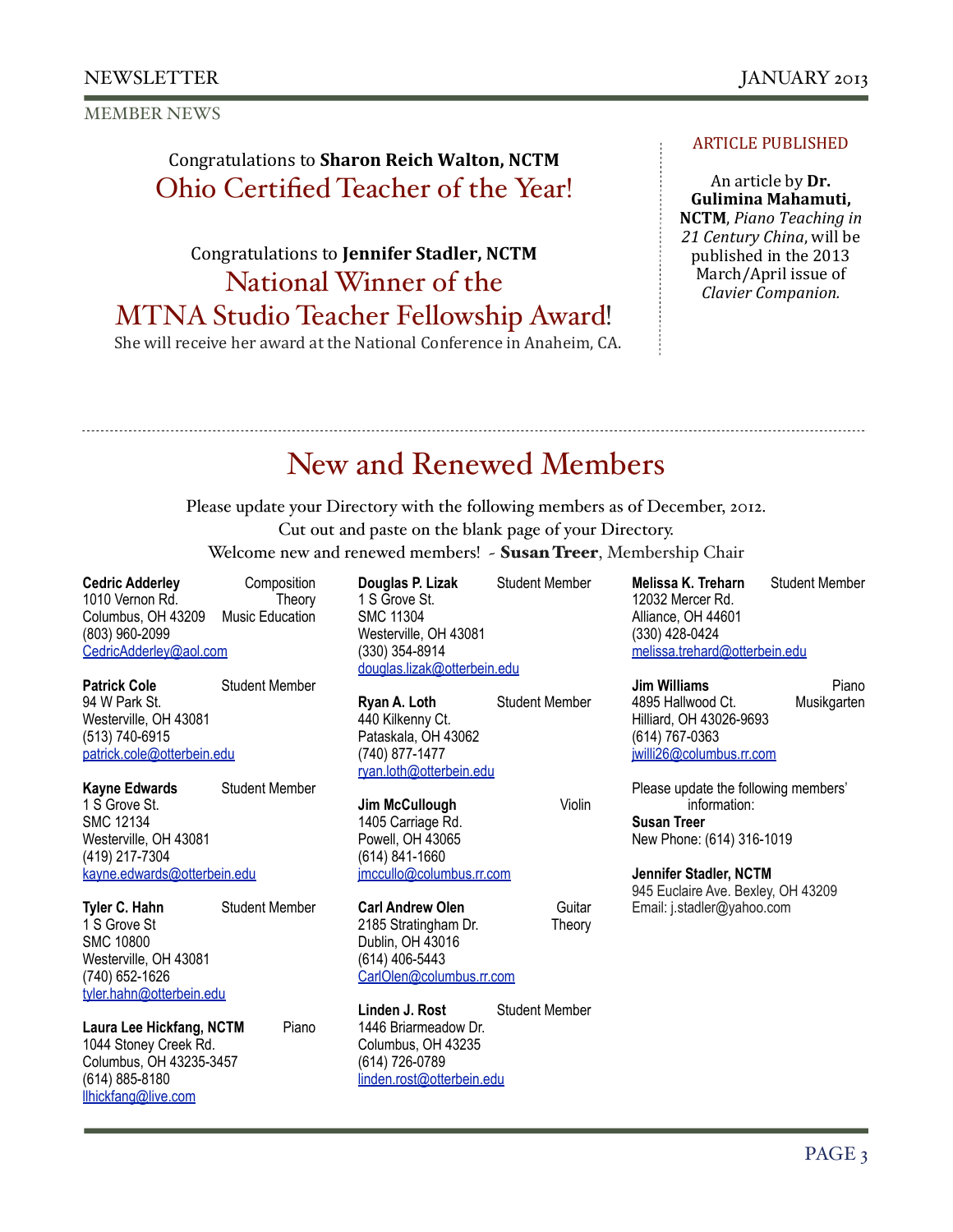MEMBER NEWS

### Congratulations to **Sharon Reich Walton, NCTM** Ohio Certified Teacher of the Year!

## Congratulations to **Jennifer Stadler, NCTM** National Winner of the

MTNA Studio Teacher Fellowship Award!

She will receive her award at the National Conference in Anaheim, CA.

#### **ARTICLE PUBLISHED**

An article by **Dr. Gulimina'Mahamuti,' NCTM**, Piano Teaching in 21 Century China, will be published in the 2013 March/April issue of *Clavier Companion.* 

## New and Renewed Members

Please update your Directory with the following members as of December, 2012. Cut out and paste on the blank page of your Directory. Welcome new and renewed members! - Susan Treer, Membership Chair

**Cedric Adderley** Composition 1010 Vernon Rd.<br>Columbus. OH 43209 Music Education Columbus, OH 43209 (803) 960-2099 [CedricAdderley@aol.com](mailto:CedricAdderley@aol.com)

**Patrick Cole Student Member** 94 W Park St. Westerville, OH 43081 (513) 740-6915 [patrick.cole@otterbein.edu](mailto:patrick.cole@otterbein.edu)

**Kayne Edwards** Student Member 1 S Grove St. SMC 12134 Westerville, OH 43081 (419) 217-7304 [kayne.edwards@otterbein.edu](mailto:kayne.edwards@otterbein.edu)

**Tyler C. Hahn** Student Member 1 S Grove St SMC 10800 Westerville, OH 43081 (740) 652-1626 [tyler.hahn@otterbein.edu](mailto:tyler.hahn@otterbein.edu)

Laura Lee Hickfang, NCTM Piano 1044 Stoney Creek Rd. Columbus, OH 43235-3457 (614) 885-8180 [llhickfang@live.com](mailto:llhickfang@live.com)

**Douglas P. Lizak Student Member** 1 S Grove St. SMC 11304 Westerville, OH 43081 (330) 354-8914 [douglas.lizak@otterbein.edu](mailto:douglas.lizak@otterbein.edu)

**Ryan A. Loth** Student Member 440 Kilkenny Ct. Pataskala, OH 43062 (740) 877-1477 [ryan.loth@otterbein.edu](mailto:ryan.loth@otterbein.edu)

**Jim McCullough Violin** 1405 Carriage Rd. Powell, OH 43065 (614) 841-1660 [jmccullo@columbus.rr.com](mailto:jmccullo@columbus.rr.com)

**Carl Andrew Olen <b>Guitar** Guitar 2185 Stratingham Dr. Theory Dublin, OH 43016 (614) 406-5443 [CarlOlen@columbus.rr.com](mailto:CarlOlen@columbus.rr.com)

**Linden J. Rost Student Member** 1446 Briarmeadow Dr. Columbus, OH 43235 (614) 726-0789 [linden.rost@otterbein.edu](mailto:linden.rost@otterbein.edu)

**Melissa K. Treharn** Student Member 12032 Mercer Rd. Alliance, OH 44601 (330) 428-0424 [melissa.trehard@otterbein.edu](mailto:melissa.trehard@otterbein.edu)

**Jim Williams** Piano 4895 Hallwood Ct. Musikgarten Hilliard, OH 43026-9693 (614) 767-0363 [jwilli26@columbus.rr.com](mailto:jwilli26@columbus.rr.com)

Please update the following members' information: **Susan Treer** New Phone: (614) 316-1019

**Jennifer Stadler, NCTM** 945 Euclaire Ave. Bexley, OH 43209 Email: j.stadler@yahoo.com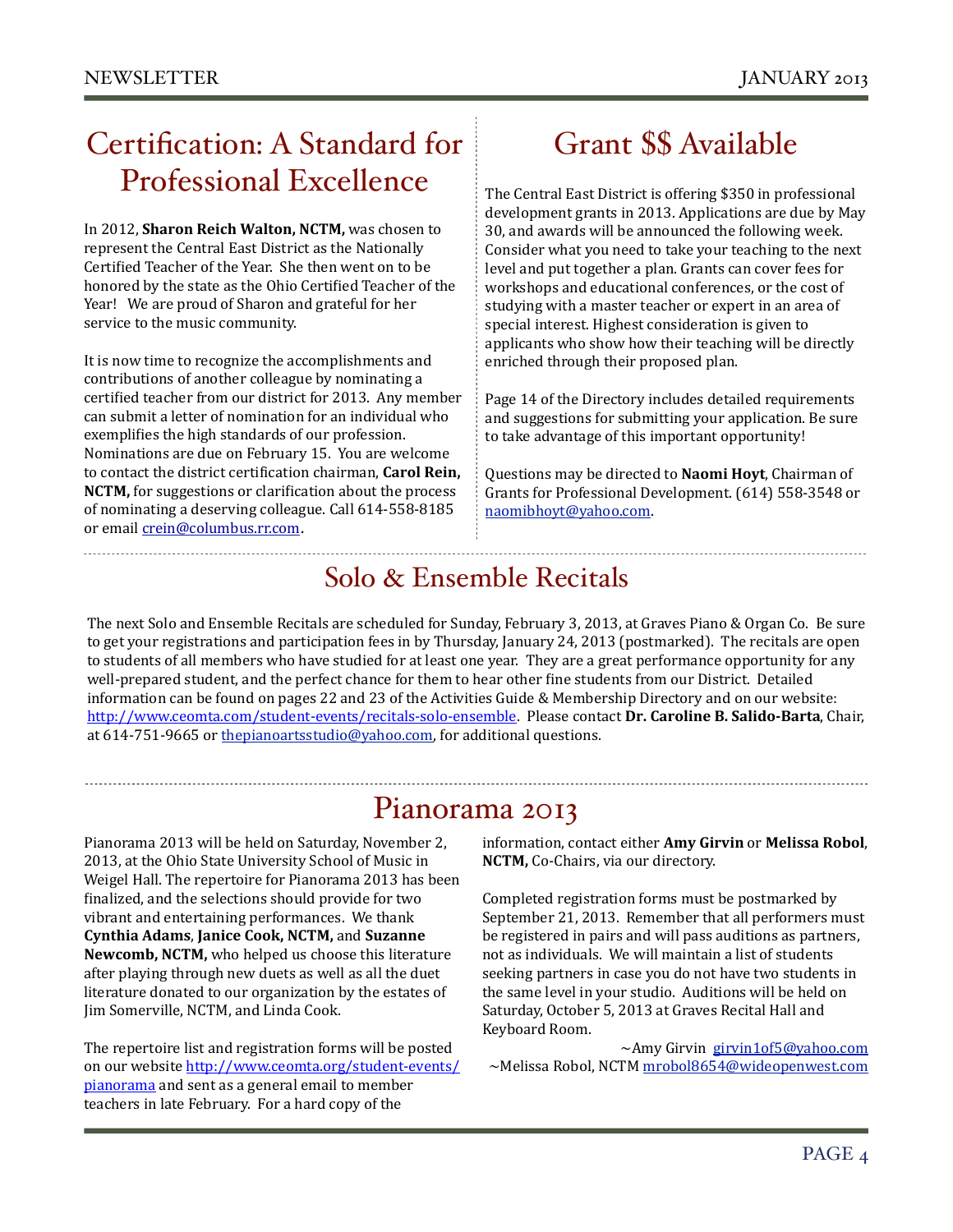# Certification: A Standard for Professional Excellence

In 2012, **Sharon Reich Walton, NCTM**, was chosen to represent the Central East District as the Nationally Certified Teacher of the Year. She then went on to be honored by the state as the Ohio Certified Teacher of the Year! We are proud of Sharon and grateful for her service to the music community.

It is now time to recognize the accomplishments and contributions of another colleague by nominating a certified teacher from our district for 2013. Any member can submit a letter of nomination for an individual who exemplifies the high standards of our profession. Nominations are due on February 15. You are welcome to contact the district certification chairman, **Carol Rein, NCTM**, for suggestions or clarification about the process of nominating a deserving colleague. Call 614-558-8185 or email crein@columbus.rr.com.

# Grant \$\$ Available

The Central East District is offering \$350 in professional development grants in 2013. Applications are due by May 30, and awards will be announced the following week. Consider what you need to take your teaching to the next level and put together a plan. Grants can cover fees for workshops and educational conferences, or the cost of studying with a master teacher or expert in an area of special interest. Highest consideration is given to applicants who show how their teaching will be directly enriched through their proposed plan.

Page 14 of the Directory includes detailed requirements and suggestions for submitting your application. Be sure to take advantage of this important opportunity!

Questions may be directed to **Naomi Hoyt**, Chairman of Grants for Professional Development. (614) 558-3548 or [naomibhoyt@yahoo.com.](mailto:naomibhoyt@yahoo.com)

### Solo & Ensemble Recitals

The next Solo and Ensemble Recitals are scheduled for Sunday, February 3, 2013, at Graves Piano & Organ Co. Be sure to get your registrations and participation fees in by Thursday, January 24, 2013 (postmarked). The recitals are open to students of all members who have studied for at least one year. They are a great performance opportunity for any well-prepared student, and the perfect chance for them to hear other fine students from our District. Detailed information can be found on pages 22 and 23 of the Activities Guide & Membership Directory and on our website: http://www.ceomta.com/student-events/recitals-solo-ensemble. Please contact Dr. Caroline B. Salido-Barta, Chair, at 614-751-9665 or thepianoartsstudio@yahoo.com, for additional questions.

### Pianorama 2013

Pianorama 2013 will be held on Saturday, November 2, 2013, at the Ohio State University School of Music in Weigel Hall. The repertoire for Pianorama 2013 has been finalized, and the selections should provide for two vibrant and entertaining performances. We thank **Cynthia Adams, Janice Cook, NCTM, and Suzanne** Newcomb, NCTM, who helped us choose this literature after playing through new duets as well as all the duet literature donated to our organization by the estates of Jim Somerville, NCTM, and Linda Cook.

The repertoire list and registration forms will be posted on our website http://www.ceomta.org/student-events/ pianorama and sent as a general email to member teachers in late February. For a hard copy of the

information, contact either Amy Girvin or Melissa Robol, **NCTM,** Co-Chairs, via our directory.

Completed registration forms must be postmarked by September 21, 2013. Remember that all performers must be registered in pairs and will pass auditions as partners, not as individuals. We will maintain a list of students seeking partners in case you do not have two students in the same level in your studio. Auditions will be held on Saturday, October 5, 2013 at Graves Recital Hall and Keyboard Room.

~Amy Girvin girvin1of5@yahoo.com ~Melissa Robol, NCTM mrobol8654@wideopenwest.com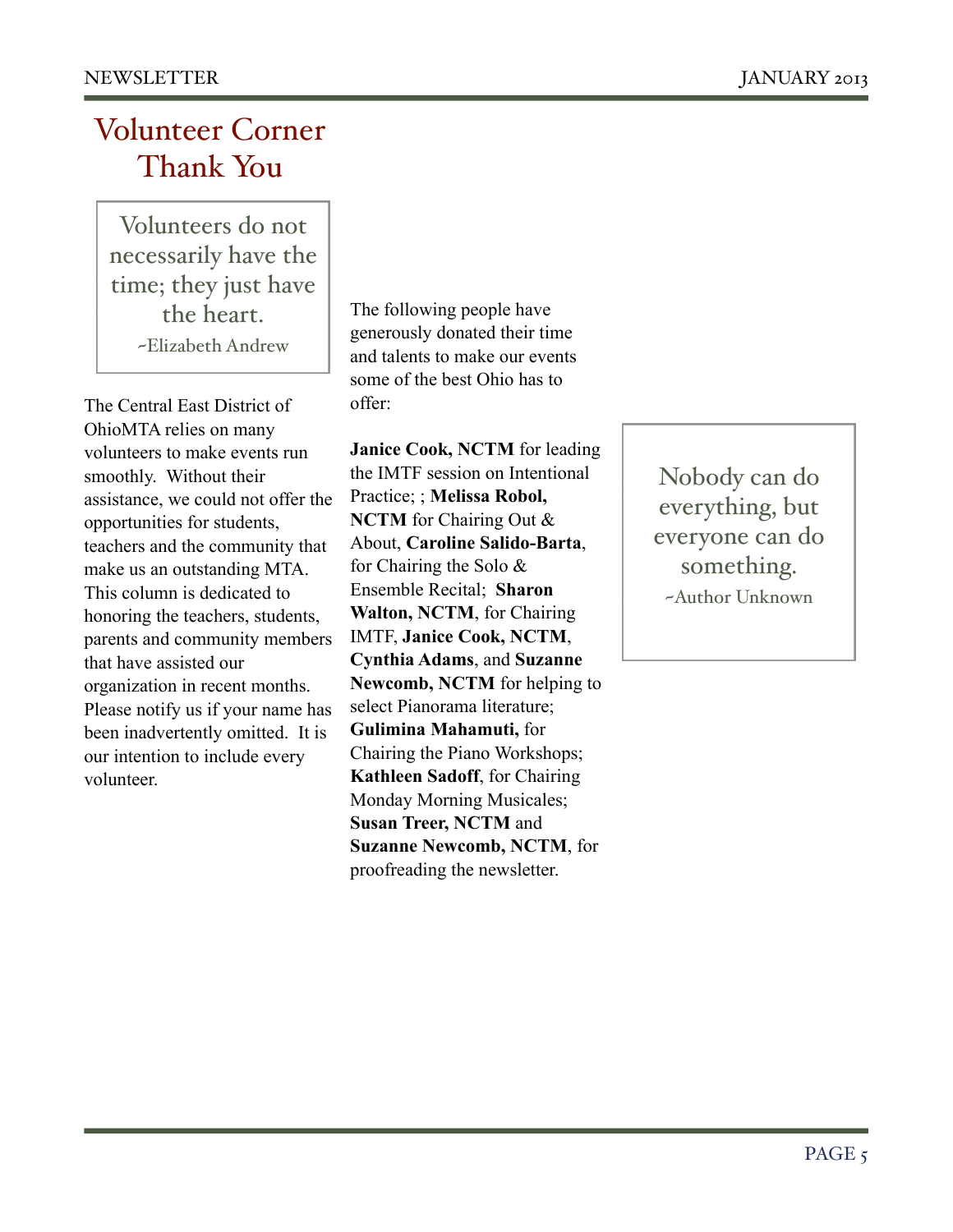# Volunteer Corner Thank You

Volunteers do not necessarily have the time; they just have the heart. ~Elizabeth Andrew

The Central East District of OhioMTA relies on many volunteers to make events run smoothly. Without their assistance, we could not offer the opportunities for students, teachers and the community that make us an outstanding MTA. This column is dedicated to honoring the teachers, students, parents and community members that have assisted our organization in recent months. Please notify us if your name has been inadvertently omitted. It is our intention to include every volunteer.

The following people have generously donated their time and talents to make our events some of the best Ohio has to offer:

**Janice Cook, NCTM** for leading the IMTF session on Intentional Practice; ; **Melissa Robol, NCTM** for Chairing Out & About, **Caroline Salido-Barta**, for Chairing the Solo & Ensemble Recital; **Sharon Walton, NCTM**, for Chairing IMTF, **Janice Cook, NCTM**, **Cynthia Adams**, and **Suzanne Newcomb, NCTM** for helping to select Pianorama literature; **Gulimina Mahamuti,** for Chairing the Piano Workshops; **Kathleen Sadoff**, for Chairing Monday Morning Musicales; **Susan Treer, NCTM** and **Suzanne Newcomb, NCTM**, for proofreading the newsletter.

Nobody can do everything, but everyone can do something. ~Author Unknown